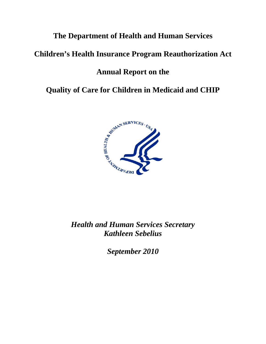# **The Department of Health and Human Services**

# **Children's Health Insurance Program Reauthorization Act**

# **Annual Report on the**

**Quality of Care for Children in Medicaid and CHIP**



*Health and Human Services Secretary Kathleen Sebelius*

*September 2010*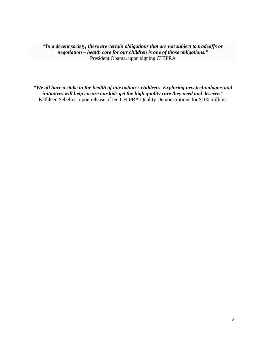*"In a decent society, there are certain obligations that are not subject to tradeoffs or negotiation – health care for our children is one of those obligations."* President Obama, upon signing CHIPRA

*"We all have a stake in the health of our nation's children. Exploring new technologies and initiatives will help ensure our kids get the high quality care they need and deserve."* Kathleen Sebelius, upon release of ten CHIPRA Quality Demonstrations for \$100 million.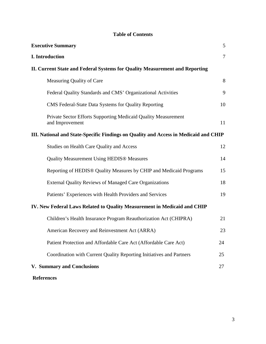# **Table of Contents**

| <b>Executive Summary</b>                                                             | 5  |  |  |  |  |  |
|--------------------------------------------------------------------------------------|----|--|--|--|--|--|
| I. Introduction                                                                      | 7  |  |  |  |  |  |
| II. Current State and Federal Systems for Quality Measurement and Reporting          |    |  |  |  |  |  |
| Measuring Quality of Care                                                            | 8  |  |  |  |  |  |
| Federal Quality Standards and CMS' Organizational Activities                         | 9  |  |  |  |  |  |
| CMS Federal-State Data Systems for Quality Reporting                                 | 10 |  |  |  |  |  |
| Private Sector Efforts Supporting Medicaid Quality Measurement<br>and Improvement    | 11 |  |  |  |  |  |
| III. National and State-Specific Findings on Quality and Access in Medicaid and CHIP |    |  |  |  |  |  |
| Studies on Health Care Quality and Access                                            | 12 |  |  |  |  |  |
| <b>Quality Measurement Using HEDIS® Measures</b>                                     | 14 |  |  |  |  |  |
| Reporting of HEDIS <sup>®</sup> Quality Measures by CHIP and Medicaid Programs       | 15 |  |  |  |  |  |
| <b>External Quality Reviews of Managed Care Organizations</b>                        | 18 |  |  |  |  |  |
| Patients' Experiences with Health Providers and Services                             | 19 |  |  |  |  |  |
| IV. New Federal Laws Related to Quality Measurement in Medicaid and CHIP             |    |  |  |  |  |  |
| Children's Health Insurance Program Reauthorization Act (CHIPRA)                     | 21 |  |  |  |  |  |
| American Recovery and Reinvestment Act (ARRA)                                        | 23 |  |  |  |  |  |
| Patient Protection and Affordable Care Act (Affordable Care Act)                     | 24 |  |  |  |  |  |
| Coordination with Current Quality Reporting Initiatives and Partners                 | 25 |  |  |  |  |  |
| V. Summary and Conclusions                                                           | 27 |  |  |  |  |  |
| <b>References</b>                                                                    |    |  |  |  |  |  |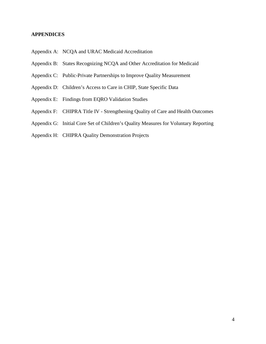#### **APPENDICES**

- Appendix A: NCQA and URAC Medicaid Accreditation
- Appendix B: States Recognizing NCQA and Other Accreditation for Medicaid
- Appendix C: Public-Private Partnerships to Improve Quality Measurement
- Appendix D: Children's Access to Care in CHIP, State Specific Data
- Appendix E: Findings from EQRO Validation Studies
- Appendix F: CHIPRA Title IV Strengthening Quality of Care and Health Outcomes
- Appendix G: Initial Core Set of Children's Quality Measures for Voluntary Reporting
- Appendix H: CHIPRA Quality Demonstration Projects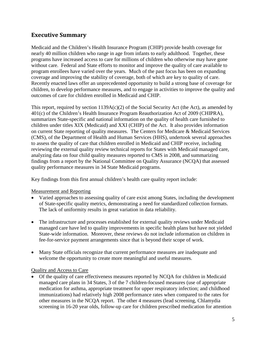# **Executive Summary**

Medicaid and the Children's Health Insurance Program (CHIP) provide health coverage for nearly 40 million children who range in age from infants to early adulthood. Together, these programs have increased access to care for millions of children who otherwise may have gone without care. Federal and State efforts to monitor and improve the quality of care available to program enrollees have varied over the years. Much of the past focus has been on expanding coverage and improving the stability of coverage, both of which are key to quality of care. Recently enacted laws offer an unprecedented opportunity to build a strong base of coverage for children, to develop performance measures, and to engage in activities to improve the quality and outcomes of care for children enrolled in Medicaid and CHIP.

This report, required by section  $1139A(c)(2)$  of the Social Security Act (the Act), as amended by 401(c) of the Children's Health Insurance Program Reauthorization Act of 2009 (CHIPRA), summarizes State-specific and national information on the quality of health care furnished to children under titles XIX (Medicaid) and XXI (CHIP) of the Act. It also provides information on current State reporting of quality measures. The Centers for Medicare & Medicaid Services (CMS), of the Department of Health and Human Services (HHS), undertook several approaches to assess the quality of care that children enrolled in Medicaid and CHIP receive, including reviewing the external quality review technical reports for States with Medicaid managed care, analyzing data on four child quality measures reported to CMS in 2008, and summarizing findings from a report by the National Committee on Quality Assurance (NCQA) that assessed quality performance measures in 34 State Medicaid programs.

Key findings from this first annual children's health care quality report include:

# Measurement and Reporting

- Varied approaches to assessing quality of care exist among States, including the development of State-specific quality metrics, demonstrating a need for standardized collection formats. The lack of uniformity results in great variation in data reliability.
- The infrastructure and processes established for external quality reviews under Medicaid managed care have led to quality improvements in specific health plans but have not yielded State-wide information. Moreover, these reviews do not include information on children in fee-for-service payment arrangements since that is beyond their scope of work.
- Many State officials recognize that current performance measures are inadequate and welcome the opportunity to create more meaningful and useful measures.

### Quality and Access to Care

• Of the quality of care effectiveness measures reported by NCQA for children in Medicaid managed care plans in 34 States, 3 of the 7 children-focused measures (use of appropriate medication for asthma, appropriate treatment for upper respiratory infection; and childhood immunizations) had relatively high 2008 performance rates when compared to the rates for other measures in the NCQA report. The other 4 measures (lead screening, Chlamydia screening in 16-20 year olds, follow-up care for children prescribed medication for attention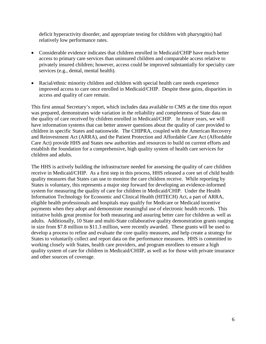deficit hyperactivity disorder, and appropriate testing for children with pharyngitis) had relatively low performance rates.

- Considerable evidence indicates that children enrolled in Medicaid/CHIP have much better access to primary care services than uninsured children and comparable access relative to privately insured children; however, access could be improved substantially for specialty care services (e.g., dental, mental health).
- Racial/ethnic minority children and children with special health care needs experience improved access to care once enrolled in Medicaid/CHIP. Despite these gains, disparities in access and quality of care remain.

This first annual Secretary's report, which includes data available to CMS at the time this report was prepared, demonstrates wide variation in the reliability and completeness of State data on the quality of care received by children enrolled in Medicaid/CHIP. In future years, we will have information systems that can better answer questions about the quality of care provided to children in specific States and nationwide. The CHIPRA, coupled with the American Recovery and Reinvestment Act (ARRA), and the Patient Protection and Affordable Care Act (Affordable Care Act) provide HHS and States new authorities and resources to build on current efforts and establish the foundation for a comprehensive, high quality system of health care services for children and adults.

The HHS is actively building the infrastructure needed for assessing the quality of care children receive in Medicaid/CHIP. As a first step in this process, HHS released a core set of child health quality measures that States can use to monitor the care children receive. While reporting by States is voluntary, this represents a major step forward for developing an evidence-informed system for measuring the quality of care for children in Medicaid/CHIP. Under the Health Information Technology for Economic and Clinical Health (HITECH) Act, a part of ARRA, eligible health professionals and hospitals may qualify for Medicare or Medicaid incentive payments when they adopt and demonstrate meaningful use of electronic health records. This initiative holds great promise for both measuring and assuring better care for children as well as adults. Additionally, 10 State and multi-State collaborative quality demonstration grants ranging in size from \$7.8 million to \$11.3 million, were recently awarded. These grants will be used to develop a process to refine and evaluate the core quality measures, and help create a strategy for States to voluntarily collect and report data on the performance measures. HHS is committed to working closely with States, health care providers, and program enrollees to ensure a high quality system of care for children in Medicaid/CHIIP, as well as for those with private insurance and other sources of coverage.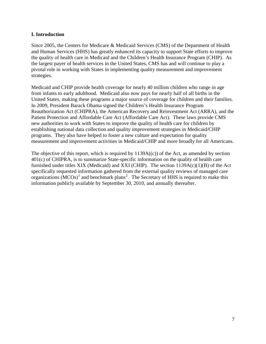#### **I. Introduction**

Since 2005, the Centers for Medicare & Medicaid Services (CMS) of the Department of Health and Human Services (HHS) has greatly enhanced its capacity to support State efforts to improve the quality of health care in Medicaid and the Children's Health Insurance Program (CHIP). As the largest payer of health services in the United States, CMS has and will continue to play a pivotal role in working with States in implementing quality measurement and improvement strategies.

Medicaid and CHIP provide health coverage for nearly 40 million children who range in age from infants to early adulthood. Medicaid also now pays for nearly half of all births in the United States, making these programs a major source of coverage for children and their families. In 2009, President Barack Obama signed the Children's Health Insurance Program Reauthorization Act (CHIPRA), the American Recovery and Reinvestment Act (ARRA), and the Patient Protection and Affordable Care Act (Affordable Care Act). These laws provide CMS new authorities to work with States to improve the quality of health care for children by establishing national data collection and quality improvement strategies in Medicaid/CHIP programs. They also have helped to foster a new culture and expectation for quality measurement and improvement activities in Medicaid/CHIP and more broadly for all Americans.

The objective of this report, which is required by  $1139A(c)$  of the Act, as amended by section 401(c) of CHIPRA, is to summarize State-specific information on the quality of health care furnished under titles XIX (Medicaid) and XXI (CHIP). The section  $1139A(c)(1)(B)$  of the Act specifically requested information gathered from the external quality reviews of managed care organizations  $(MCOs)^{1}$  $(MCOs)^{1}$  $(MCOs)^{1}$  and benchmark plans<sup>[2](#page-27-1)</sup>. The Secretary of HHS is required to make this information publicly available by September 30, 2010, and annually thereafter.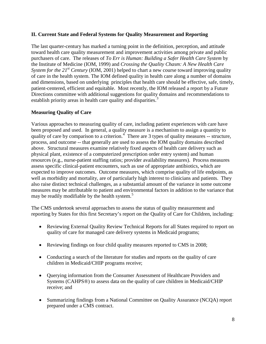### **II. Current State and Federal Systems for Quality Measurement and Reporting**

The last quarter-century has marked a turning point in the definition, perception, and attitude toward health care quality measurement and improvement activities among private and public purchasers of care. The releases of *To Err is Human: Building a Safer Health Care System* by the Institute of Medicine (IOM, 1999) and *Crossing the Quality Chasm: A New Health Care System for the 21<sup>st</sup> Century* (IOM, 2001) helped to chart a new course toward improving quality of care in the health system. The IOM defined quality in health care along a number of domains and dimensions, based on underlying principles that health care should be effective, safe, timely, patient-centered, efficient and equitable. Most recently, the IOM released a report by a Future Directions committee with additional suggestions for quality domains and recommendations to establish priority areas in health care quality and disparities.<sup>[3](#page-27-2)</sup>

# **Measuring Quality of Care**

Various approaches to measuring quality of care, including patient experiences with care have been proposed and used. In general, a quality measure is a mechanism to assign a quantity to quality of care by comparison to a criterion.<sup>[4](#page-27-3)</sup> There are 3 types of quality measures  $-$  structure, process, and outcome -- that generally are used to assess the IOM quality domains described above. Structural measures examine relatively fixed aspects of health care delivery such as physical plant, existence of a computerized prescription order entry system) and human resources (e.g., nurse-patient staffing ratios; provider availability measures). Process measures assess specific clinical-patient encounters, such as use of appropriate antibiotics, which are expected to improve outcomes. Outcome measures, which comprise quality of life endpoints, as well as morbidity and mortality, are of particularly high interest to clinicians and patients. They also raise distinct technical challenges, as a substantial amount of the variance in some outcome measures may be attributable to patient and environmental factors in addition to the variance that may be readily modifiable by the health system. [5](#page-27-4)

The CMS undertook several approaches to assess the status of quality measurement and reporting by States for this first Secretary's report on the Quality of Care for Children, including:

- Reviewing External Quality Review Technical Reports for all States required to report on quality of care for managed care delivery systems in Medicaid programs;
- Reviewing findings on four child quality measures reported to CMS in 2008;
- Conducting a search of the literature for studies and reports on the quality of care children in Medicaid/CHIP programs receive;
- Ouerying information from the Consumer Assessment of Healthcare Providers and Systems (CAHPS®) to assess data on the quality of care children in Medicaid/CHIP receive; and
- Summarizing findings from a National Committee on Quality Assurance (NCQA) report prepared under a CMS contract.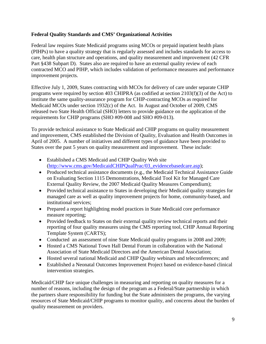### **Federal Quality Standards and CMS' Organizational Activities**

Federal law requires State Medicaid programs using MCOs or prepaid inpatient health plans (PIHPs) to have a quality strategy that is regularly assessed and includes standards for access to care, health plan structure and operations, and quality measurement and improvement (42 CFR Part §438 Subpart D). States also are required to have an external quality review of each contracted MCO and PIHP, which includes validation of performance measures and performance improvement projects.

Effective July 1, 2009, States contracting with MCOs for delivery of care under separate CHIP programs were required by section 403 CHIPRA (as codified at section 2103(f)(3) of the Act) to institute the same quality-assurance program for CHIP-contracting MCOs as required for Medicaid MCOs under section 1932(c) of the Act. In August and October of 2009, CMS released two State Health Official (SHO) letters to provide guidance on the application of the requirements for CHIP programs (SHO #09-008 and SHO #09-013).

To provide technical assistance to State Medicaid and CHIP programs on quality measurement and improvement, CMS established the Division of Quality, Evaluation and Health Outcomes in April of 2005. A number of initiatives and different types of guidance have been provided to States over the past 5 years on quality measurement and improvement. These include:

- Established a CMS Medicaid and CHIP Quality Web site [\(http://www.cms.gov/MedicaidCHIPQualPrac/03\\_evidencebasedcare.asp\)](http://www.cms.gov/MedicaidCHIPQualPrac/03_evidencebasedcare.asp);
- Produced technical assistance documents (e.g., the Medicaid Technical Assistance Guide on Evaluating Section 1115 Demonstrations, Medicaid Tool Kit for Managed Care External Quality Review, the 2007 Medicaid Quality Measures Compendium);
- Provided technical assistance to States in developing their Medicaid quality strategies for managed care as well as quality improvement projects for home, community-based, and institutional services;
- Prepared a report highlighting model practices in State Medicaid core performance measure reporting;
- Provided feedback to States on their external quality review technical reports and their reporting of four quality measures using the CMS reporting tool, CHIP Annual Reporting Template System (CARTS);
- Conducted an assessment of nine State Medicaid quality programs in 2008 and 2009;
- Hosted a CMS National Town Hall Dental Forum in collaboration with the National Association of State Medicaid Directors and the American Dental Association;
- Hosted several national Medicaid and CHIP Quality webinars and teleconferences; and
- Established a Neonatal Outcomes Improvement Project based on evidence-based clinical intervention strategies.

Medicaid/CHIP face unique challenges in measuring and reporting on quality measures for a number of reasons, including the design of the program as a Federal/State partnership in which the partners share responsibility for funding but the State administers the programs, the varying resources of State Medicaid/CHIP programs to monitor quality, and concerns about the burden of quality measurement on providers.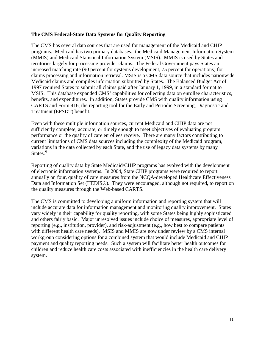#### **The CMS Federal-State Data Systems for Quality Reporting**

The CMS has several data sources that are used for management of the Medicaid and CHIP programs. Medicaid has two primary databases: the Medicaid Management Information System (MMIS) and Medicaid Statistical Information System (MSIS). MMIS is used by States and territories largely for processing provider claims. The Federal Government pays States an increased matching rate (90 percent for systems development, 75 percent for operations) for claims processing and information retrieval. MSIS is a CMS data source that includes nationwide Medicaid claims and compiles information submitted by States. The Balanced Budget Act of 1997 required States to submit all claims paid after January 1, 1999, in a standard format to MSIS. This database expanded CMS' capabilities for collecting data on enrollee characteristics, benefits, and expenditures. In addition, States provide CMS with quality information using CARTS and Form 416, the reporting tool for the Early and Periodic Screening, Diagnostic and Treatment (EPSDT) benefit.

Even with these multiple information sources, current Medicaid and CHIP data are not sufficiently complete, accurate, or timely enough to meet objectives of evaluating program performance or the quality of care enrollees receive. There are many factors contributing to current limitations of CMS data sources including the complexity of the Medicaid program, variations in the data collected by each State, and the use of legacy data systems by many States.<sup>[6](#page-27-5)</sup>

Reporting of quality data by State Medicaid/CHIP programs has evolved with the development of electronic information systems. In 2004, State CHIP programs were required to report annually on four, quality of care measures from the NCQA-developed Healthcare Effectiveness Data and Information Set (HEDIS®). They were encouraged, although not required, to report on the quality measures through the Web-based CARTS.

The CMS is committed to developing a uniform information and reporting system that will include accurate data for information management and monitoring quality improvement. States vary widely in their capability for quality reporting, with some States being highly sophisticated and others fairly basic. Major unresolved issues include choice of measures, appropriate level of reporting (e.g., institution, provider), and risk-adjustment (e.g., how best to compare patients with different health care needs). MSIS and MMIS are now under review by a CMS internal workgroup considering options for a combined system that would include Medicaid and CHIP payment and quality reporting needs. Such a system will facilitate better health outcomes for children and reduce health care costs associated with inefficiencies in the health care delivery system.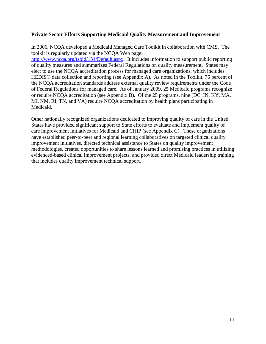#### **Private Sector Efforts Supporting Medicaid Quality Measurement and Improvement**

In 2006, NCQA developed a Medicaid Managed Care Toolkit in collaboration with CMS. The toolkit is regularly updated via the NCQA Web page:

[http://www.ncqa.org/tabid/134/Default.aspx.](http://www.ncqa.org/tabid/134/Default.aspx) It includes information to support public reporting of quality measures and summarizes Federal Regulations on quality measurement. States may elect to use the NCQA accreditation process for managed care organizations, which includes HEDIS<sup>®</sup> data collection and reporting (see Appendix A). As noted in the Toolkit, 75 percent of the NCQA accreditation standards address external quality review requirements under the Code of Federal Regulations for managed care. As of January 2009, 25 Medicaid programs recognize or require NCQA accreditation (see Appendix B). Of the 25 programs, nine (DC, IN, KY, MA, MI, NM, RI, TN, and VA) require NCQA accreditation by health plans participating in Medicaid.

Other nationally recognized organizations dedicated to improving quality of care in the United States have provided significant support to State efforts to evaluate and implement quality of care improvement initiatives for Medicaid and CHIP (see Appendix C). These organizations have established peer-to-peer and regional learning collaboratives on targeted clinical quality improvement initiatives, directed technical assistance to States on quality improvement methodologies, created opportunities to share lessons learned and promising practices in utilizing evidenced-based clinical improvement projects, and provided direct Medicaid leadership training that includes quality improvement technical support.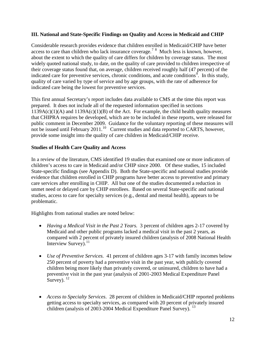### **III. National and State-Specific Findings on Quality and Access in Medicaid and CHIP**

Considerable research provides evidence that children enrolled in Medicaid/CHIP have better access to care than children who lack insurance coverage.<sup>[7](#page-27-6)[8](#page-27-7)</sup> Much less is known, however, about the extent to which the quality of care differs for children by coverage status. The most widely quoted national study, to date, on the quality of care provided to children irrespective of their coverage status found that, on average, children received roughly half (47 percent) of the indicated care for preventive services, chronic conditions, and acute conditions<sup>[9](#page-27-8)</sup>. In this study, quality of care varied by type of service and by age groups, with the rate of adherence for indicated care being the lowest for preventive services.

This first annual Secretary's report includes data available to CMS at the time this report was prepared. It does not include all of the requested information specified in sections  $1139A(c)(1)(A)$  and  $1139A(c)(1)(B)$  of the Act. For example, the child health quality measures that CHIPRA requires be developed, which are to be included in these reports, were released for public comment in December 2009. Guidance for the voluntary reporting of these measures will not be issued until February 2011.<sup>10</sup> Current studies and data reported to CARTS, however, provide some insight into the quality of care children in Medicaid/CHIP receive.

# **Studies of Health Care Quality and Access**

In a review of the literature, CMS identified 19 studies that examined one or more indicators of children's access to care in Medicaid and/or CHIP since 2000. Of these studies, 15 included State-specific findings (see Appendix D). Both the State-specific and national studies provide evidence that children enrolled in CHIP programs have better access to preventive and primary care services after enrolling in CHIP. All but one of the studies documented a reduction in unmet need or delayed care by CHIP enrollees. Based on several State-specific and national studies, access to care for specialty services (e.g., dental and mental health), appears to be problematic.

Highlights from national studies are noted below:

- *Having a Medical Visit in the Past 2 Years.* 3 percent of children ages 2-17 covered by Medicaid and other public programs lacked a medical visit in the past 2 years, as compared with 2 percent of privately insured children (analysis of 2008 National Health Interview Survey). $^{11}$  $^{11}$  $^{11}$
- *Use of Preventive Services.* 41 percent of children ages 3-17 with family incomes below 250 percent of poverty had a preventive visit in the past year, with publicly covered children being more likely than privately covered, or uninsured, children to have had a preventive visit in the past year (analysis of 2001-2003 Medical Expenditure Panel Survey).  $^{12}$  $^{12}$  $^{12}$
- *Access to Specialty Services*. 28 percent of children in Medicaid/CHIP reported problems getting access to specialty services, as compared with 20 percent of privately insured children (analysis of 2003-2004 Medical Expenditure Panel Survey). <sup>[13](#page-27-12)</sup>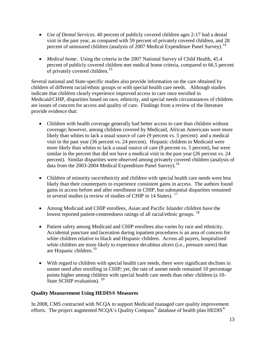- *Use of Dental Services*. 40 percent of publicly covered children ages 2-17 had a dental visit in the past year, as compared with 59 percent of privately covered children, and 28 percent of uninsured children (analysis of 2007 Medical Expenditure Panel Survey).<sup>[14](#page-27-13)</sup>
- *Medical home.* Using the criteria in the 2007 National Survey of Child Health, 45.4 percent of publicly covered children met medical home criteria, compared to 66.5 percent of privately covered children.<sup>[15](#page-27-14)</sup>

Several national and State-specific studies also provide information on the care obtained by children of different racial/ethnic groups or with special health care needs. Although studies indicate that children clearly experience improved access to care once enrolled in Medicaid/CHIP, disparities based on race, ethnicity, and special needs circumstances of children are issues of concern for access and quality of care. Findings from a review of the literature provide evidence that:

- Children with health coverage generally had better access to care than children without coverage; however, among children covered by Medicaid, African Americans were more likely than whites to lack a usual source of care (9 percent vs. 5 percent) and a medical visit in the past year (36 percent vs. 24 percent). Hispanic children in Medicaid were more likely than whites to lack a usual source of care (8 percent vs. 5 percent), but were similar in the percent that did not have a medical visit in the past year (26 percent vs. 24 percent). Similar disparities were observed among privately covered children (analysis of data from the 2003-2004 Medical Expenditure Panel Survey).<sup>[16](#page-28-0)</sup>
- Children of minority race/ethnicity and children with special health care needs were less likely than their counterparts to experience consistent gains in access. The authors found gains in access before and after enrollment in CHIP, but substantial disparities remained in several studies (a review of studies of CHIP in 14 States).  $17$
- Among Medicaid and CHIP enrollees, Asian and Pacific Islander children have the lowest reported patient-centeredness ratings of all racial/ethnic groups. <sup>[18](#page-28-2)</sup>
- Patient safety among Medicaid and CHIP enrollees also varies by race and ethnicity. Accidental puncture and laceration during inpatient procedures is an area of concern for white children relative to black and Hispanic children. Across all payers, hospitalized white children are more likely to experience decubitus ulcers (i.e., pressure sores) than are Hispanic children.<sup>[19](#page-28-3)</sup>
- With regard to children with special health care needs, there were significant declines in unmet need after enrolling in CHIP; yet, the rate of unmet needs remained 10 percentage points higher among children with special health care needs than other children (a 10- State SCHIP evaluation). <sup>[20](#page-28-4)</sup>

### **Quality Measurement Using HEDIS® Measures**

In 2008, CMS contracted with NCQA to support Medicaid managed care quality improvement efforts. The project augmented NCQA's Quality Compass<sup>®</sup> database of health plan  $HEDIS^{\circledR}$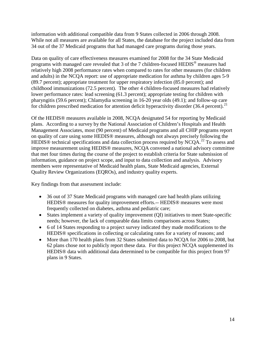information with additional compatible data from 9 States collected in 2006 through 2008. While not all measures are available for all States, the database for the project included data from 34 out of the 37 Medicaid programs that had managed care programs during those years.

Data on quality of care effectiveness measures examined for 2008 for the 34 State Medicaid programs with managed care revealed that 3 of the 7 children-focused HEDIS*®* measures had relatively high 2008 performance rates when compared to rates for other measures (for children and adults) in the NCQA report: use of appropriate medication for asthma by children ages 5-9 (89.7 percent); appropriate treatment for upper respiratory infection (85.0 percent); and childhood immunizations (72.5 percent). The other 4 children-focused measures had relatively lower performance rates: lead screening (61.3 percent); appropriate testing for children with pharyngitis (59.6 percent); Chlamydia screening in 16-20 year olds (49.1); and follow-up care for children prescribed medication for attention deficit hyperactivity disorder (36.4 percent).<sup>[21](#page-28-5)</sup>

Of the HEDIS® measures available in 2008, NCQA designated 54 for reporting by Medicaid plans. According to a survey by the National Association of Children's Hospitals and Health Management Associates, most (90 percent) of Medicaid programs and all CHIP programs report on quality of care using some HEDIS® measures, although not always precisely following the HEDIS<sup>®</sup> technical specifications and data collection process required by NCQA.<sup>[22](#page-28-6)</sup> To assess and improve measurement using HEDIS® measures, NCQA convened a national advisory committee that met four times during the course of the project to establish criteria for State submission of information, guidance on project scope, and input to data collection and analysis. Advisory members were representative of Medicaid health plans, State Medicaid agencies, External Quality Review Organizations (EQROs), and industry quality experts.

Key findings from that assessment include:

- 36 out of 37 State Medicaid programs with managed care had health plans utilizing HEDIS® measures for quality improvement efforts.-- HEDIS® measures were most frequently collected on diabetes, asthma and pediatric care;
- States implement a variety of quality improvement (QI) initiatives to meet State-specific needs; however, the lack of comparable data limits comparisons across States;
- 6 of 14 States responding to a project survey indicated they made modifications to the HEDIS® specifications in collecting or calculating rates for a variety of reasons; and
- More than 170 health plans from 32 States submitted data to NCQA for 2006 to 2008, but 62 plans chose not to publicly report these data. For this project NCQA supplemented its HEDIS® data with additional data determined to be compatible for this project from 97 plans in 9 States.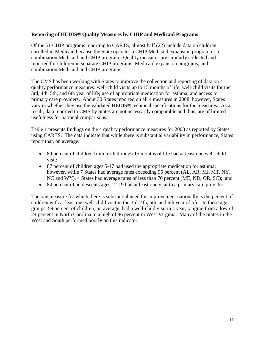#### **Reporting of HEDIS® Quality Measures by CHIP and Medicaid Programs**

Of the 51 CHIP programs reporting to CARTS, almost half (22) include data on children enrolled in Medicaid because the State operates a CHIP Medicaid expansion program or a combination Medicaid and CHIP program. Quality measures are similarly collected and reported for children in separate CHIP programs, Medicaid expansion programs, and combination Medicaid and CHIP programs.

The CMS has been working with States to improve the collection and reporting of data on 4 quality performance measures: well-child visits up to 15 months of life; well-child visits for the 3rd, 4th, 5th, and 6th year of life; use of appropriate medication for asthma; and access to primary care providers. About 30 States reported on all 4 measures in 2008; however, States vary in whether they use the validated HEDIS® technical specifications for the measures. As a result, data reported to CMS by States are not necessarily comparable and thus, are of limited usefulness for national comparisons.

Table 1 presents findings on the 4 quality performance measures for 2008 as reported by States using CARTS. The data indicate that while there is substantial variability in performance, States report that, on average:

- 89 percent of children from birth through 15 months of life had at least one well-child visit;
- 87 percent of children ages 5-17 had used the appropriate medication for asthma; however, while 7 States had average rates exceeding 95 percent (AL, AR, MI, MT, NY, NC and WY), 4 States had average rates of less than 70 percent (ME, ND, OR, SC); and
- 84 percent of adolescents ages 12-19 had at least one visit to a primary care provider.

The one measure for which there is substantial need for improvement nationally is the percent of children with at least one well-child visit in the 3rd, 4th, 5th, and 6th year of life. In these age groups, 59 percent of children, on average, had a well-child visit in a year, ranging from a low of 24 percent in North Carolina to a high of 86 percent in West Virginia. Many of the States in the West and South performed poorly on this indicator.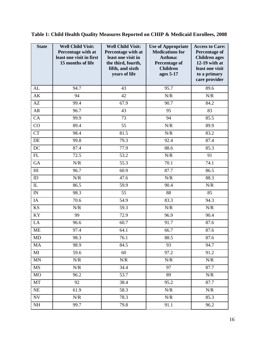| <b>State</b>           | <b>Well Child Visit:</b><br>Percentage with at<br>least one visit in first<br>15 months of life | <b>Well Child Visit:</b><br>Percentage with at<br>least one visit in<br>the third, fourth,<br>fifth, and sixth<br>years of life | <b>Use of Appropriate</b><br><b>Medications for</b><br>Asthma:<br><b>Percentage of</b><br><b>Children</b><br>ages 5-17 | <b>Access to Care:</b><br><b>Percentage of</b><br><b>Children</b> ages<br>12-19 with at<br>least one visit<br>to a primary<br>care provider |
|------------------------|-------------------------------------------------------------------------------------------------|---------------------------------------------------------------------------------------------------------------------------------|------------------------------------------------------------------------------------------------------------------------|---------------------------------------------------------------------------------------------------------------------------------------------|
| AL                     | 94.7                                                                                            | 43                                                                                                                              | 95.7                                                                                                                   | 89.6                                                                                                                                        |
| AK                     | 94                                                                                              | 42                                                                                                                              | $N\!/\!R$                                                                                                              | $N\!/\!R$                                                                                                                                   |
| $\mathbf{A}\mathbf{Z}$ | 99.4                                                                                            | 67.9                                                                                                                            | 90.7                                                                                                                   | 84.2                                                                                                                                        |
| AR                     | 96.7                                                                                            | 43                                                                                                                              | 95                                                                                                                     | 83                                                                                                                                          |
| CA                     | 99.9                                                                                            | 73                                                                                                                              | 94                                                                                                                     | 85.5                                                                                                                                        |
| CO                     | 89.4                                                                                            | 55                                                                                                                              | N/R                                                                                                                    | 89.9                                                                                                                                        |
| <b>CT</b>              | 98.4                                                                                            | 81.5                                                                                                                            | $N\!/\!R$                                                                                                              | 83.2                                                                                                                                        |
| $\rm DE$               | 99.8                                                                                            | 79.3                                                                                                                            | 92.4                                                                                                                   | 87.4                                                                                                                                        |
| DC                     | 87.4                                                                                            | 77.9                                                                                                                            | 88.6                                                                                                                   | 85.3                                                                                                                                        |
| ${\rm FL}$             | 72.5                                                                                            | 53.2                                                                                                                            | $N\!/\!R$                                                                                                              | 91                                                                                                                                          |
| GA                     | N/R                                                                                             | 55.3                                                                                                                            | 70.1                                                                                                                   | 74.1                                                                                                                                        |
| H                      | 96.7                                                                                            | 60.9                                                                                                                            | 87.7                                                                                                                   | 86.5                                                                                                                                        |
| ID                     | N/R                                                                                             | 47.6                                                                                                                            | $N\!/\!R$                                                                                                              | 88.3                                                                                                                                        |
| IL                     | 86.5                                                                                            | 59.9                                                                                                                            | 90.4                                                                                                                   | N/R                                                                                                                                         |
| IN                     | 98.3                                                                                            | 55                                                                                                                              | 88                                                                                                                     | 85                                                                                                                                          |
| IA                     | 70.6                                                                                            | 54.9                                                                                                                            | 83.3                                                                                                                   | 94.3                                                                                                                                        |
| KS                     | N/R                                                                                             | 59.3                                                                                                                            | N/R                                                                                                                    | $N\!/\!R$                                                                                                                                   |
| KY                     | 99                                                                                              | $\overline{72.9}$                                                                                                               | 96.9                                                                                                                   | 90.4                                                                                                                                        |
| $\rm LA$               | 96.6                                                                                            | 60.7                                                                                                                            | 91.7                                                                                                                   | 87.6                                                                                                                                        |
| ME                     | 97.4                                                                                            | 64.1                                                                                                                            | 66.7                                                                                                                   | 87.6                                                                                                                                        |
| MD                     | 98.3                                                                                            | 76.1                                                                                                                            | 88.5                                                                                                                   | 87.6                                                                                                                                        |
| <b>MA</b>              | 98.9                                                                                            | 84.5                                                                                                                            | 93                                                                                                                     | 94.7                                                                                                                                        |
| $\mathbf{M}$           | 59.6                                                                                            | 60                                                                                                                              | 97.2                                                                                                                   | 91.2                                                                                                                                        |
| <b>MN</b>              | N/R                                                                                             | N/R                                                                                                                             | N/R                                                                                                                    | N/R                                                                                                                                         |
| <b>MS</b>              | N/R                                                                                             | 34.4                                                                                                                            | 97                                                                                                                     | 87.7                                                                                                                                        |
| <b>MO</b>              | 96.2                                                                                            | 53.7                                                                                                                            | 89                                                                                                                     | N/R                                                                                                                                         |
| MT                     | 92                                                                                              | 38.4                                                                                                                            | 95.2                                                                                                                   | 87.7                                                                                                                                        |
| NE                     | 61.9                                                                                            | 58.3                                                                                                                            | N/R                                                                                                                    | N/R                                                                                                                                         |
| <b>NV</b>              | N/R                                                                                             | 78.3                                                                                                                            | $N\!/\!R$                                                                                                              | 85.3                                                                                                                                        |
| NH                     | 99.7                                                                                            | 79.8                                                                                                                            | 91.1                                                                                                                   | 96.2                                                                                                                                        |

**Table 1: Child Health Quality Measures Reported on CHIP & Medicaid Enrollees, 2008**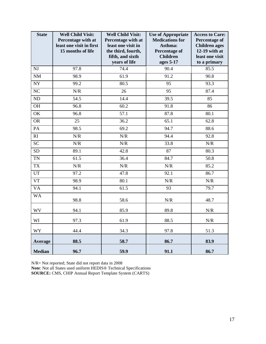| <b>State</b>    | <b>Well Child Visit:</b><br>Percentage with at<br>least one visit in first<br>15 months of life | <b>Well Child Visit:</b><br>Percentage with at<br>least one visit in<br>the third, fourth,<br>fifth, and sixth<br>years of life | <b>Use of Appropriate</b><br><b>Medications for</b><br>Asthma:<br><b>Percentage of</b><br><b>Children</b><br>ages 5-17 | <b>Access to Care:</b><br><b>Percentage of</b><br><b>Children</b> ages<br>12-19 with at<br>least one visit<br>to a primary |
|-----------------|-------------------------------------------------------------------------------------------------|---------------------------------------------------------------------------------------------------------------------------------|------------------------------------------------------------------------------------------------------------------------|----------------------------------------------------------------------------------------------------------------------------|
| NJ              | 97.8                                                                                            | 74.4                                                                                                                            | 90.4                                                                                                                   | 85.5                                                                                                                       |
| $\rm{NM}$       | 98.9                                                                                            | 61.9                                                                                                                            | 91.2                                                                                                                   | 90.8                                                                                                                       |
| $\overline{NY}$ | 99.2                                                                                            | 80.5                                                                                                                            | 95                                                                                                                     | 93.3                                                                                                                       |
| NC              | N/R                                                                                             | 26                                                                                                                              | 95                                                                                                                     | 87.4                                                                                                                       |
| $\overline{ND}$ | 54.5                                                                                            | 14.4                                                                                                                            | 39.5                                                                                                                   | 85                                                                                                                         |
| OH              | 96.8                                                                                            | 60.2                                                                                                                            | 91.8                                                                                                                   | 86                                                                                                                         |
| OK              | 96.8                                                                                            | 57.1                                                                                                                            | 87.8                                                                                                                   | 80.1                                                                                                                       |
| <b>OR</b>       | $\overline{25}$                                                                                 | 36.2                                                                                                                            | 65.1                                                                                                                   | 62.8                                                                                                                       |
| PA              | 98.5                                                                                            | 69.2                                                                                                                            | 94.7                                                                                                                   | 88.6                                                                                                                       |
| RI              | $N\!/\!R$                                                                                       | $N\!/\!R$                                                                                                                       | 94.4                                                                                                                   | 92.8                                                                                                                       |
| <b>SC</b>       | N/R                                                                                             | N/R                                                                                                                             | 33.8                                                                                                                   | N/R                                                                                                                        |
| <b>SD</b>       | 89.1                                                                                            | 42.8                                                                                                                            | 87                                                                                                                     | 80.3                                                                                                                       |
| <b>TN</b>       | 61.5                                                                                            | 36.4                                                                                                                            | 84.7                                                                                                                   | 50.8                                                                                                                       |
| <b>TX</b>       | N/R                                                                                             | N/R                                                                                                                             | N/R                                                                                                                    | 85.2                                                                                                                       |
| UT              | 97.2                                                                                            | 47.8                                                                                                                            | 92.1                                                                                                                   | 86.7                                                                                                                       |
| <b>VT</b>       | 98.9                                                                                            | 80.1                                                                                                                            | N/R                                                                                                                    | N/R                                                                                                                        |
| <b>VA</b>       | 94.1                                                                                            | 61.5                                                                                                                            | 93                                                                                                                     | 79.7                                                                                                                       |
| <b>WA</b>       | 98.8                                                                                            | 58.6                                                                                                                            | $N\!/\!R$                                                                                                              | 48.7                                                                                                                       |
| <b>WV</b>       | 94.1                                                                                            | 85.9                                                                                                                            | 89.8                                                                                                                   | $N\!/\!R$                                                                                                                  |
| WI              | 97.3                                                                                            | 61.9                                                                                                                            | 88.5                                                                                                                   | N/R                                                                                                                        |
| <b>WY</b>       | 44.4                                                                                            | 34.3                                                                                                                            | 97.8                                                                                                                   | 51.3                                                                                                                       |
| Average         | 88.5                                                                                            | 58.7                                                                                                                            | 86.7                                                                                                                   | 83.9                                                                                                                       |
| <b>Median</b>   | 96.7                                                                                            | 59.9                                                                                                                            | 91.1                                                                                                                   | 86.7                                                                                                                       |

N/R= Not reported; State did not report data in 2008

**Note**: Not all States used uniform HEDIS® Technical Specifications

**SOURCE:** CMS, CHIP Annual Report Template System (CARTS)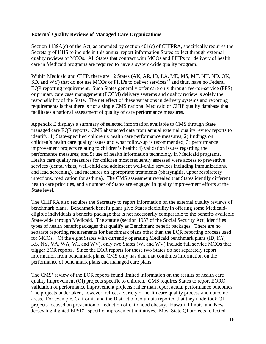#### **External Quality Reviews of Managed Care Organizations**

Section 1139A(c) of the Act, as amended by section  $401(c)$  of CHIPRA, specifically requires the Secretary of HHS to include in this annual report information States collect through external quality reviews of MCOs. All States that contract with MCOs and PIHPs for delivery of health care in Medicaid programs are required to have a system-wide quality program.

Within Medicaid and CHIP, there are 12 States (AK, AR, ID, LA, ME, MS, MT, NH, ND, OK, SD, and WY) that do not use MCOs or PIHPs to deliver services<sup>[23](#page-28-7)</sup> and thus, have no Federal EQR reporting requirement. Such States generally offer care only through fee-for-service (FFS) or primary care case management (PCCM) delivery systems and quality review is solely the responsibility of the State. The net effect of these variations in delivery systems and reporting requirements is that there is not a single CMS national Medicaid or CHIP quality database that facilitates a national assessment of quality of care performance measures.

Appendix E displays a summary of selected information available to CMS through State managed care EQR reports. CMS abstracted data from annual external quality review reports to identify: 1) State-specified children's health care performance measures; 2) findings on children's health care quality issues and what follow-up is recommended; 3) performance improvement projects relating to children's health; 4) validation issues regarding the performance measures; and 5) use of health information technology in Medicaid programs. Health care quality measures for children most frequently assessed were access to preventive services (dental visits, well-child and adolescent well-child services including immunizations, and lead screening), and measures on appropriate treatments (pharyngitis, upper respiratory infections, medication for asthma). The CMS assessment revealed that States identify different health care priorities, and a number of States are engaged in quality improvement efforts at the State level.

The CHIPRA also requires the Secretary to report information on the external quality reviews of benchmark plans. Benchmark benefit plans give States flexibility in offering some Medicaideligible individuals a benefits package that is not necessarily comparable to the benefits available State-wide through Medicaid. The statute (section 1937 of the Social Security Act) identifies types of health benefit packages that qualify as Benchmark benefit packages. There are no separate reporting requirements for benchmark plans other than the EQR reporting process used for MCOs. Of the eight States with currently operating Medicaid benchmark plans (ID, KY, KS, NY, VA, WA, WI, and WV), only two States (WI and WV) include full service MCOs that trigger EQR reports. Since the EQR reports for these two States do not separately report information from benchmark plans, CMS only has data that combines information on the performance of benchmark plans and managed care plans.

The CMS' review of the EQR reports found limited information on the results of health care quality improvement (QI) projects specific to children. CMS requires States to report EQRO validation of performance improvement projects rather than report actual performance outcomes. The projects undertaken, however, reflect a variety of health care quality process and outcome areas. For example, California and the District of Columbia reported that they undertook QI projects focused on prevention or reduction of childhood obesity. Hawaii, Illinois, and New Jersey highlighted EPSDT specific improvement initiatives. Most State QI projects reflected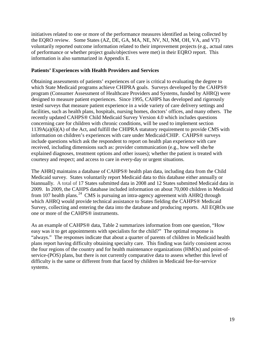initiatives related to one or more of the performance measures identified as being collected by the EQRO review. Some States (AZ, DE, GA, MA, NE, NV, NJ, NM, OH, VA, and VT) voluntarily reported outcome information related to their improvement projects (e.g., actual rates of performance or whether project goals/objectives were met) in their EQRO report. This information is also summarized in Appendix E.

#### **Patients' Experiences with Health Providers and Services**

Obtaining assessments of patients' experiences of care is critical to evaluating the degree to which State Medicaid programs achieve CHIPRA goals. Surveys developed by the CAHPS® program (Consumer Assessment of Healthcare Providers and Systems, funded by AHRQ) were designed to measure patient experiences. Since 1995, CAHPS has developed and rigorously tested surveys that measure patient experience in a wide variety of care delivery settings and facilities, such as health plans, hospitals, nursing homes, doctors' offices, and many others. The recently updated CAHPS® Child Medicaid Survey Version 4.0 which includes questions concerning care for children with chronic conditions, will be used to implement section 1139A(a)(6)(A) of the Act, and fulfill the CHIPRA statutory requirement to provide CMS with information on children's experiences with care under Medicaid/CHIP. CAHPS® surveys include questions which ask the respondent to report on health plan experience with care received, including dimensions such as: provider communication (e.g., how well she/he explained diagnoses, treatment options and other issues); whether the patient is treated with courtesy and respect; and access to care in every-day or urgent situations.

The AHRQ maintains a database of CAHPS® health plan data, including data from the Child Medicaid survey. States voluntarily report Medicaid data to this database either annually or biannually. A total of 17 States submitted data in 2008 and 12 States submitted Medicaid data in 2009. In 2009, the CAHPS database included information on about 70,000 children in Medicaid from 107 health plans.<sup>[24](#page-28-8)</sup> CMS is pursuing an intra-agency agreement with AHRQ through which AHRQ would provide technical assistance to States fielding the CAHPS® Medicaid Survey, collecting and entering the data into the database and producing reports. All EQROs use one or more of the CAHPS® instruments.

As an example of CAHPS® data, Table 2 summarizes information from one question, "How easy was it to get appointments with specialists for the child?" The optimal response is "always." The responses indicate that about a quarter of parents of children in Medicaid health plans report having difficulty obtaining specialty care. This finding was fairly consistent across the four regions of the country and for health maintenance organizations (HMOs) and point-ofservice-(POS) plans, but there is not currently comparative data to assess whether this level of difficulty is the same or different from that faced by children in Medicaid fee-for-service systems.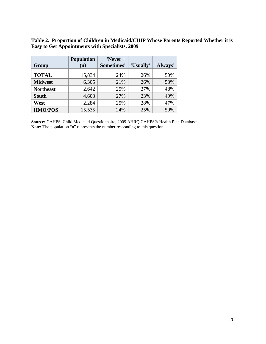**Table 2. Proportion of Children in Medicaid/CHIP Whose Parents Reported Whether it is Easy to Get Appointments with Specialists, 2009** 

| Group            | <b>Population</b><br>(n) | 'Never +<br>Sometimes' | 'Usually' | 'Always' |
|------------------|--------------------------|------------------------|-----------|----------|
|                  |                          |                        |           |          |
| <b>TOTAL</b>     | 15,834                   | 24%                    | 26%       | 50%      |
| <b>Midwest</b>   | 6,305                    | 21%                    | 26%       | 53%      |
| <b>Northeast</b> | 2,642                    | 25%                    | 27%       | 48%      |
| <b>South</b>     | 4,603                    | 27%                    | 23%       | 49%      |
| West             | 2,284                    | 25%                    | 28%       | 47%      |
| <b>HMO/POS</b>   | 15,535                   | 24%                    | 25%       | 50%      |

**Source:** CAHPS, Child Medicaid Questionnaire, 2009 AHRQ CAHPS® Health Plan Database **Note:** The population "n" represents the number responding to this question.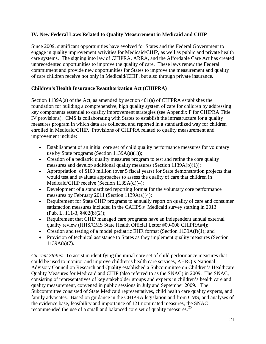# **IV. New Federal Laws Related to Quality Measurement in Medicaid and CHIP**

Since 2009, significant opportunities have evolved for States and the Federal Government to engage in quality improvement activities for Medicaid/CHIP, as well as public and private health care systems. The signing into law of CHIPRA, ARRA, and the Affordable Care Act has created unprecedented opportunities to improve the quality of care. These laws renew the Federal commitment and provide new opportunities for States to improve the measurement and quality of care children receive not only in Medicaid/CHIP, but also through private insurance.

# **Children's Health Insurance Reauthorization Act (CHIPRA)**

Section 1139A(a) of the Act, as amended by section 401(a) of CHIPRA establishes the foundation for building a comprehensive, high quality system of care for children by addressing key components essential to quality improvement strategies (see Appendix F for CHIPRA Title IV provisions). CMS is collaborating with States to establish the infrastructure for a quality measures program in which data are collected and reported in a standardized way for children enrolled in Medicaid/CHIP. Provisions of CHIPRA related to quality measurement and improvement include:

- Establishment of an initial core set of child quality performance measures for voluntary use by State programs (Section 1139A(a)(1));
- Creation of a pediatric quality measures program to test and refine the core quality measures and develop additional quality measures (Section 1139A(b)(1));
- Appropriation of \$100 million (over 5 fiscal years) for State demonstration projects that would test and evaluate approaches to assess the quality of care that children in Medicaid/CHIP receive (Section 1139A(d)(4);
- Development of a standardized reporting format for the voluntary core performance measures by February 2011 (Section 1139A(a)(4);
- Requirement for State CHIP programs to annually report on quality of care and consumer satisfaction measures included in the CAHPS® Medicaid survey starting in 2013 (Pub. L. 111-3, §402(b)(2));
- Requirement that CHIP managed care programs have an independent annual external quality review (HHS/CMS State Health Official Letter #09-008 CHIPRA#4);
- Creation and testing of a model pediatric EHR format (Section 1139A(f)(1); and
- Provision of technical assistance to States as they implement quality measures (Section 1139A(a)(7).

*Current Status*: To assist in identifying the initial core set of child performance measures that could be used to monitor and improve children's health care services, AHRQ's National Advisory Council on Research and Quality established a Subcommittee on Children's Healthcare Quality Measures for Medicaid and CHIP (also referred to as the SNAC) in 2009. The SNAC, consisting of representatives of key stakeholder groups and experts in children's health care and quality measurement, convened in public sessions in July and September 2009. The Subcommittee consisted of State Medicaid representatives, child health care quality experts, and family advocates. Based on guidance in the CHIPRA legislation and from CMS, and analyses of the evidence base, feasibility and importance of 121 nominated measures, the SNAC recommended the use of a small and balanced core set of quality measures.<sup>[25](#page-28-9)</sup>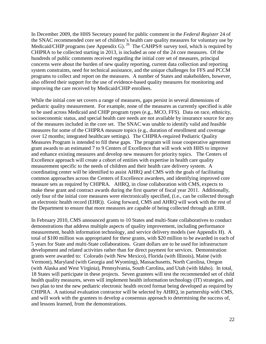In December 2009, the HHS Secretary posted for public comment in the *Federal Register* 24 of the SNAC recommended core set of children's health care quality measures for voluntary use by Medicaid/CHIP programs (see Appendix G). <sup>[26](#page-28-10)</sup> The CAHPS<sup>®</sup> survey tool, which is required by CHIPRA to be collected starting in 2013, is included as one of the 24 core measures. Of the hundreds of public comments received regarding the initial core set of measures, principal concerns were about the burden of new quality reporting, current data collection and reporting system constraints, need for technical assistance, and the unique challenges for FFS and PCCM programs to collect and report on the measures. A number of States and stakeholders, however, also offered their support for the use of evidence-based quality measures for monitoring and improving the care received by Medicaid/CHIP enrollees.

While the initial core set covers a range of measures, gaps persist in several dimensions of pediatric quality measurement. For example, none of the measures as currently specified is able to be used across Medicaid and CHIP program types (e.g., MCO, FFS). Data on race, ethnicity, socioeconomic status, and special health care needs are not available by insurance source for any of the measures included in the core set. The SNAC was unable to identify valid and feasible measures for some of the CHIPRA measure topics (e.g., duration of enrollment and coverage over 12 months; integrated healthcare settings). The CHIPRA-required Pediatric Quality Measures Program is intended to fill these gaps. The program will issue cooperative agreement grant awards to an estimated 7 to 9 Centers of Excellence that will work with HHS to improve and enhance existing measures and develop new measures for priority topics. The Centers of Excellence approach will create a cohort of entities with expertise in health care quality measurement specific to the needs of children and their health care delivery system. A coordinating center will be identified to assist AHRQ and CMS with the goals of facilitating common approaches across the Centers of Excellence awardees, and identifying improved core measure sets as required by CHIPRA. AHRQ, in close collaboration with CMS, expects to make these grant and contract awards during the first quarter of fiscal year 2011. Additionally, only four of the initial core measures were electronically specified, (i.e., can be collected through an electronic health record (EHR)). Going forward, CMS and AHRQ will work with the rest of the Department to ensure that more measures are capable of being collected through an EHR.

In February 2010, CMS announced grants to 10 States and multi-State collaboratives to conduct demonstrations that address multiple aspects of quality improvement, including performance measurement, health information technology, and service delivery models (see Appendix H). A total of \$100 million was appropriated for these grants, with \$20 million to be awarded in each of 5 years for State and multi-State collaborations. Grant dollars are to be used for infrastructure development and related activities rather than for direct payment for services. Demonstration grants were awarded to: Colorado (with New Mexico), Florida (with Illinois), Maine (with Vermont), Maryland (with Georgia and Wyoming), Massachusetts, North Carolina, Oregon (with Alaska and West Virginia), Pennsylvania, South Carolina, and Utah (with Idaho). In total, 18 States will participate in these projects. Seven grantees will test the recommended set of child health quality measures, seven will implement health information technology (IT) strategies, and two plan to test the new pediatric electronic health record format being developed as required by CHIPRA. A national evaluation contractor will be selected by AHRQ, in partnership with CMS, and will work with the grantees to develop a consensus approach to determining the success of, and lessons learned, from the demonstrations.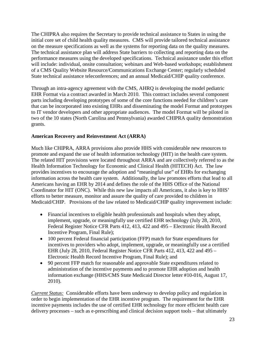The CHIPRA also requires the Secretary to provide technical assistance to States in using the initial core set of child health quality measures. CMS will provide tailored technical assistance on the measure specifications as well as the systems for reporting data on the quality measures. The technical assistance plan will address State barriers to collecting and reporting data on the performance measures using the developed specifications. Technical assistance under this effort will include: individual, onsite consultation; webinars and Web-based workshops; establishment of a CMS Quality Website Resource/Communications Exchange Center; regularly scheduled State technical assistance teleconferences; and an annual Medicaid/CHIP quality conference.

Through an intra-agency agreement with the CMS, AHRQ is developing the model pediatric EHR Format via a contract awarded in March 2010. This contract includes several component parts including developing prototypes of some of the core functions needed for children's care that can be incorporated into existing EHRs and disseminating the model Format and prototypes to IT vendor developers and other appropriate audiences. The model Format will be piloted in two of the 10 states (North Carolina and Pennsylvania) awarded CHIPRA quality demonstration grants.

# **American Recovery and Reinvestment Act (ARRA)**

Much like CHIPRA, ARRA provisions also provide HHS with considerable new resources to promote and expand the use of health information technology (HIT) in the health care system. The related HIT provisions were located throughout ARRA and are collectively referred to as the Health Information Technology for Economic and Clinical Health (HITECH) Act. The law provides incentives to encourage the adoption and "meaningful use" of EHRs for exchanging information across the health care system. Additionally, the law promotes efforts that lead to all Americans having an EHR by 2014 and defines the role of the HHS Office of the National Coordinator for HIT (ONC). While this new law impacts all Americans, it also is key to HHS' efforts to better measure, monitor and assure the quality of care provided to children in Medicaid/CHIP. Provisions of the law related to Medicaid/CHIP quality improvement include:

- Financial incentives to eligible health professionals and hospitals when they adopt, implement, upgrade, or meaningfully use certified EHR technology (July 28, 2010, Federal Register Notice CFR Parts 412, 413, 422 and 495 – Electronic Health Record Incentive Program, Final Rule);
- 100 percent Federal financial participation (FFP) match for State expenditures for incentives to providers who adopt, implement, upgrade, or meaningfully use a certified EHR (July 28, 2010, Federal Register Notice CFR Parts 412, 413, 422 and 495 – Electronic Health Record Incentive Program, Final Rule); and
- 90 percent FFP match for reasonable and approvable State expenditures related to administration of the incentive payments and to promote EHR adoption and health information exchange (HHS/CMS State Medicaid Director letter #10-016, August 17, 2010).

*Current Status:* Considerable efforts have been underway to develop policy and regulation in order to begin implementation of the EHR incentive program. The requirement for the EHR incentive payments includes the use of certified EHR technology for more efficient health care delivery processes – such as e-prescribing and clinical decision support tools – that ultimately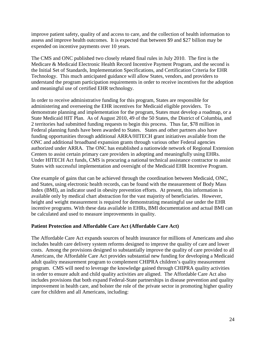improve patient safety, quality of and access to care, and the collection of health information to assess and improve health outcomes. It is expected that between \$9 and \$27 billion may be expended on incentive payments over 10 years.

The CMS and ONC published two closely related final rules in July 2010. The first is the Medicare & Medicaid Electronic Health Record Incentive Payment Program, and the second is the Initial Set of Standards, Implementation Specifications, and Certification Criteria for EHR Technology. This much anticipated guidance will allow States, vendors, and providers to understand the program participation requirements in order to receive incentives for the adoption and meaningful use of certified EHR technology.

In order to receive administrative funding for this program, States are responsible for administering and overseeing the EHR incentives for Medicaid eligible providers. To demonstrate planning and implementation for the program, States must develop a roadmap, or a State Medicaid HIT Plan. As of August 2010, 49 of the 50 States, the District of Columbia, and 2 territories had submitted funding requests to begin this process. Thus far, \$78 million in Federal planning funds have been awarded to States. States and other partners also have funding opportunities through additional ARRA/HITECH grant initiatives available from the ONC and additional broadband expansion grants through various other Federal agencies authorized under ARRA. The ONC has established a nationwide network of Regional Extension Centers to assist certain primary care providers in adopting and meaningfully using EHRs. Under HITECH Act funds, CMS is procuring a national technical assistance contractor to assist States with successful implementation and oversight of the Medicaid EHR Incentive Program.

One example of gains that can be achieved through the coordination between Medicaid, ONC, and States, using electronic health records, can be found with the measurement of Body Mass Index (BMI), an indicator used in obesity prevention efforts. At present, this information is available only by medical chart abstraction for the vast majority of beneficiaries. However, height and weight measurement is required for demonstrating meaningful use under the EHR incentive programs. With these data available in EHRs, BMI documentation and actual BMI can be calculated and used to measure improvements in quality.

### **Patient Protection and Affordable Care Act (Affordable Care Act)**

The Affordable Care Act expands sources of health insurance for millions of Americans and also includes health care delivery system reforms designed to improve the quality of care and lower costs. Among the provisions designed to substantially improve the quality of care provided to all Americans, the Affordable Care Act provides substantial new funding for developing a Medicaid adult quality measurement program to complement CHIPRA children's quality measurement program. CMS will need to leverage the knowledge gained through CHIPRA quality activities in order to ensure adult and child quality activities are aligned. The Affordable Care Act also includes provisions that both expand Federal-State partnerships in disease prevention and quality improvement in health care, and bolster the role of the private sector in promoting higher quality care for children and all Americans, including: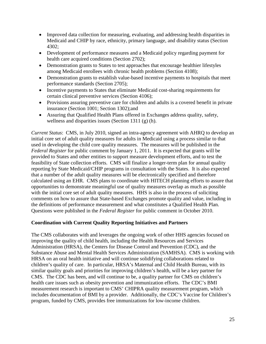- Improved data collection for measuring, evaluating, and addressing health disparities in Medicaid and CHIP by race, ethnicity, primary language, and disability status (Section 4302;
- Development of performance measures and a Medicaid policy regarding payment for health care acquired conditions (Section 2702);
- Demonstration grants to States to test approaches that encourage healthier lifestyles among Medicaid enrollees with chronic health problems (Section 4108);
- Demonstration grants to establish value-based incentive payments to hospitals that meet performance standards (Section 2705);
- Incentive payments to States that eliminate Medicaid cost-sharing requirements for certain clinical preventive services (Section 4106);
- Provisions assuring preventive care for children and adults is a covered benefit in private insurance (Section 1001; Section 1302);and
- Assuring that Qualified Health Plans offered in Exchanges address quality, safety, wellness and disparities issues (Section 1311 (g) (h).

*Current Status*: CMS, in July 2010, signed an intra-agency agreement with AHRQ to develop an initial core set of adult quality measures for adults in Medicaid using a process similar to that used in developing the child core quality measures. The measures will be published in the *Federal Register* for public comment by January 1, 2011. It is expected that grants will be provided to States and other entities to support measure development efforts, and to test the feasibility of State collection efforts. CMS will finalize a longer-term plan for annual quality reporting by State Medicaid/CHIP programs in consultation with the States. It is also expected that a number of the adult quality measures will be electronically specified and therefore calculated using an EHR. CMS plans to coordinate with HITECH planning efforts to assure that opportunities to demonstrate meaningful use of quality measures overlap as much as possible with the initial core set of adult quality measures. HHS is also in the process of soliciting comments on how to assure that State-based Exchanges promote quality and value, including in the definitions of performance measurement and what constitutes a Qualified Health Plan. Questions were published in the *Federal Register* for public comment in October 2010.

### **Coordination with Current Quality Reporting Initiatives and Partners**

The CMS collaborates with and leverages the ongoing work of other HHS agencies focused on improving the quality of child health, including the Health Resources and Services Administration (HRSA), the Centers for Disease Control and Prevention (CDC), and the Substance Abuse and Mental Health Services Administration (SAMHSA). CMS is working with HRSA on an oral health initiative and will continue solidifying collaborations related to children's quality of care. In particular, HRSA's Maternal and Child Health Bureau, with its similar quality goals and priorities for improving children's health, will be a key partner for CMS. The CDC has been, and will continue to be, a quality partner for CMS on children's health care issues such as obesity prevention and immunization efforts. The CDC's BMI measurement research is important to CMS' CHIPRA quality measurement program, which includes documentation of BMI by a provider. Additionally, the CDC's Vaccine for Children's program, funded by CMS, provides free immunizations for low-income children.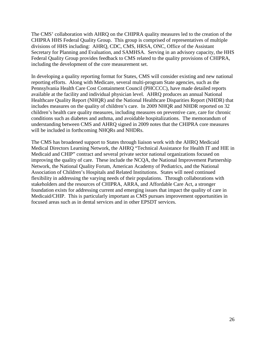The CMS' collaboration with AHRQ on the CHIPRA quality measures led to the creation of the CHIPRA HHS Federal Quality Group. This group is comprised of representatives of multiple divisions of HHS including: AHRQ, CDC, CMS, HRSA, ONC, Office of the Assistant Secretary for Planning and Evaluation, and SAMHSA. Serving in an advisory capacity, the HHS Federal Quality Group provides feedback to CMS related to the quality provisions of CHIPRA, including the development of the core measurement set.

In developing a quality reporting format for States, CMS will consider existing and new national reporting efforts. Along with Medicare, several multi-program State agencies, such as the Pennsylvania Health Care Cost Containment Council (PHCCCC), have made detailed reports available at the facility and individual physician level. AHRQ produces an annual National Healthcare Quality Report (NHQR) and the National Healthcare Disparities Report (NHDR) that includes measures on the quality of children's care. In 2009 NHQR and NHDR reported on 32 children's health care quality measures, including measures on preventive care, care for chronic conditions such as diabetes and asthma, and avoidable hospitalizations. The memorandum of understanding between CMS and AHRQ signed in 2009 notes that the CHIPRA core measures will be included in forthcoming NHQRs and NHDRs.

The CMS has broadened support to States through liaison work with the AHRQ Medicaid Medical Directors Learning Network, the AHRQ "Technical Assistance for Health IT and HIE in Medicaid and CHIP" contract and several private sector national organizations focused on improving the quality of care. These include the NCQA, the National Improvement Partnership Network, the National Quality Forum, American Academy of Pediatrics, and the National Association of Children's Hospitals and Related Institutions. States will need continued flexibility in addressing the varying needs of their populations. Through collaborations with stakeholders and the resources of CHIPRA, ARRA, and Affordable Care Act, a stronger foundation exists for addressing current and emerging issues that impact the quality of care in Medicaid/CHIP. This is particularly important as CMS pursues improvement opportunities in focused areas such as in dental services and in other EPSDT services.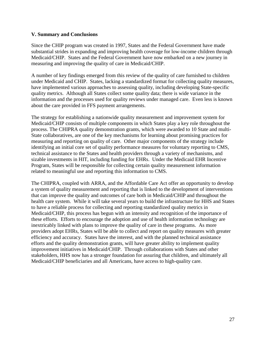#### **V. Summary and Conclusions**

Since the CHIP program was created in 1997, States and the Federal Government have made substantial strides in expanding and improving health coverage for low-income children through Medicaid/CHIP. States and the Federal Government have now embarked on a new journey in measuring and improving the quality of care in Medicaid/CHIP.

A number of key findings emerged from this review of the quality of care furnished to children under Medicaid and CHIP. States, lacking a standardized format for collecting quality measures, have implemented various approaches to assessing quality, including developing State-specific quality metrics. Although all States collect some quality data; there is wide variance in the information and the processes used for quality reviews under managed care. Even less is known about the care provided in FFS payment arrangements.

The strategy for establishing a nationwide quality measurement and improvement system for Medicaid/CHIP consists of multiple components in which States play a key role throughout the process. The CHIPRA quality demonstration grants, which were awarded to 10 State and multi-State collaboratives, are one of the key mechanisms for learning about promising practices for measuring and reporting on quality of care. Other major components of the strategy include identifying an initial core set of quality performance measures for voluntary reporting to CMS, technical assistance to the States and health providers through a variety of mechanisms, and sizable investments in HIT, including funding for EHRs. Under the Medicaid EHR Incentive Program, States will be responsible for collecting certain quality measurement information related to meaningful use and reporting this information to CMS.

The CHIPRA, coupled with ARRA, and the Affordable Care Act offer an opportunity to develop a system of quality measurement and reporting that is linked to the development of interventions that can improve the quality and outcomes of care both in Medicaid/CHIP and throughout the health care system. While it will take several years to build the infrastructure for HHS and States to have a reliable process for collecting and reporting standardized quality metrics in Medicaid/CHIP, this process has begun with an intensity and recognition of the importance of these efforts. Efforts to encourage the adoption and use of health information technology are inextricably linked with plans to improve the quality of care in these programs. As more providers adopt EHRs, States will be able to collect and report on quality measures with greater efficiency and accuracy. States have the interest, and with the planned technical assistance efforts and the quality demonstration grants, will have greater ability to implement quality improvement initiatives in Medicaid/CHIP. Through collaborations with States and other stakeholders, HHS now has a stronger foundation for assuring that children, and ultimately all Medicaid/CHIP beneficiaries and all Americans, have access to high-quality care.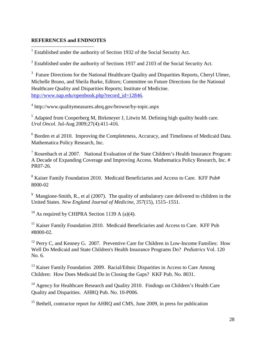#### **REFERENCES and ENDNOTES**

<span id="page-27-0"></span><sup>1</sup> Established under the authority of Section 1932 of the Social Security Act.

<span id="page-27-1"></span> $2$  Established under the authority of Sections 1937 and 2103 of the Social Security Act.

<span id="page-27-2"></span> $3$  Future Directions for the National Healthcare Quality and Disparities Reports, Cheryl Ulmer, Michelle Bruno, and Sheila Burke, Editors; Committee on Future Directions for the National Healthcare Quality and Disparities Reports; Institute of Medicine. [http://www.nap.edu/openbook.php?record\\_id=12846.](http://www.nap.edu/openbook.php?record_id=12846)

<span id="page-27-3"></span><sup>4</sup> http://www.qualitymeasures.ahrq.gov/browse/by-topic.aspx

<span id="page-27-4"></span><sup>5</sup> Adapted from Cooperberg M, Birkmeyer J, Litwin M. Defining high quality health care. *Urol Oncol.* Jul-Aug 2009;27(4):411-416.

<span id="page-27-5"></span><sup>6</sup> Borden et al 2010. Improving the Completeness, Accuracy, and Timeliness of Medicaid Data. Mathematica Policy Research, Inc.

<span id="page-27-6"></span> $<sup>7</sup>$  Rosenbach et al 2007. National Evaluation of the State Children's Health Insurance Program:</sup> A Decade of Expanding Coverage and Improving Access. Mathematica Policy Research, Inc. # PR07-26.

<span id="page-27-7"></span><sup>8</sup> Kaiser Family Foundation 2010. Medicaid Beneficiaries and Access to Care. KFF Pub# 8000-02

<span id="page-27-8"></span><sup>9</sup> Mangione-Smith, R., et al (2007). The quality of ambulatory care delivered to children in the United States. *New England Journal of Medicine, 357*(15), 1515–1551.

<span id="page-27-9"></span><sup>10</sup> As required by CHIPRA Section 1139 A (a)(4).

<span id="page-27-10"></span><sup>11</sup> Kaiser Family Foundation 2010. Medicaid Beneficiaries and Access to Care. KFF Pub #8000-02.

<span id="page-27-11"></span><sup>12</sup> Perry C, and Kenney G. 2007. Preventive Care for Children in Low-Income Families: How Well Do Medicaid and State Children's Health Insurance Programs Do? *Pediatrics* Vol. 120 No. 6.

<span id="page-27-12"></span><sup>13</sup> Kaiser Family Foundation 2009. Racial/Ethnic Disparities in Access to Care Among Children: How Does Medicaid Do in Closing the Gaps? KKF Pub. No. 8031.

<span id="page-27-13"></span><sup>14</sup> Agency for Healthcare Research and Quality 2010. Findings on Children's Health Care Quality and Disparities. AHRQ Pub. No. 10-P006.

<span id="page-27-14"></span><sup>15</sup> Bethell, contractor report for AHRQ and CMS, June 2009, in press for publication